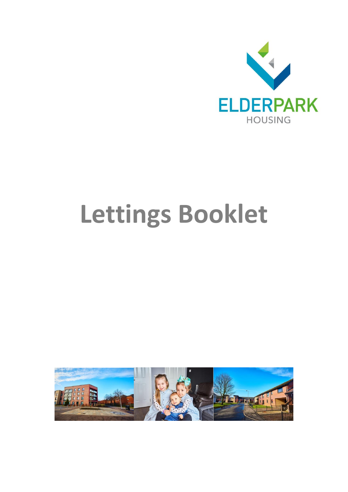

# **Lettings Booklet**

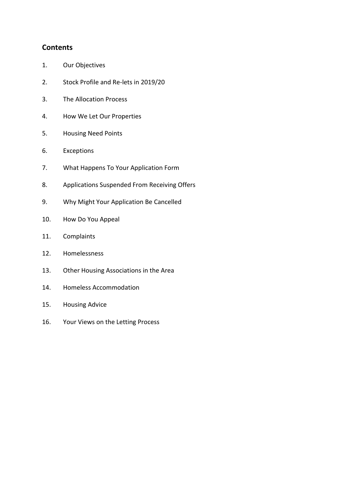# **Contents**

- 1. Our Objectives
- 2. Stock Profile and Re-lets in 2019/20
- 3. The Allocation Process
- 4. How We Let Our Properties
- 5. Housing Need Points
- 6. Exceptions
- 7. What Happens To Your Application Form
- 8. Applications Suspended From Receiving Offers
- 9. Why Might Your Application Be Cancelled
- 10. How Do You Appeal
- 11. Complaints
- 12. Homelessness
- 13. Other Housing Associations in the Area
- 14. Homeless Accommodation
- 15. Housing Advice
- 16. Your Views on the Letting Process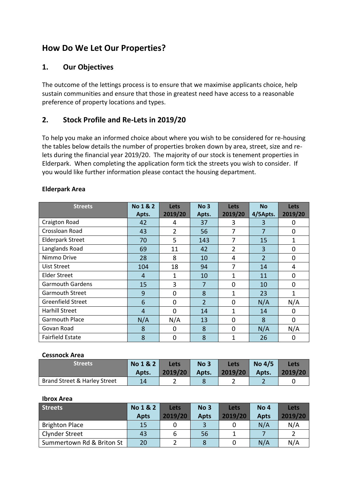# **How Do We Let Our Properties?**

# **1. Our Objectives**

The outcome of the lettings process is to ensure that we maximise applicants choice, help sustain communities and ensure that those in greatest need have access to a reasonable preference of property locations and types.

# **2. Stock Profile and Re-Lets in 2019/20**

To help you make an informed choice about where you wish to be considered for re-housing the tables below details the number of properties broken down by area, street, size and relets during the financial year 2019/20. The majority of our stock is tenement properties in Elderpark. When completing the application form tick the streets you wish to consider. If you would like further information please contact the housing department.

| <b>Streets</b>           | No 1 & 2       | <b>Lets</b>    | No <sub>3</sub> | Lets           | <b>No</b>      | <b>Lets</b> |
|--------------------------|----------------|----------------|-----------------|----------------|----------------|-------------|
|                          | Apts.          | 2019/20        | Apts.           | 2019/20        | 4/5Apts.       | 2019/20     |
| Craigton Road            | 42             | 4              | 37              | 3              | 3              | 0           |
| Crossloan Road           | 43             | 2              | 56              | 7              | 7              | 0           |
| <b>Elderpark Street</b>  | 70             | 5              | 143             | 7              | 15             | 1           |
| Langlands Road           | 69             | 11             | 42              | $\overline{2}$ | 3              | 0           |
| Nimmo Drive              | 28             | 8              | 10              | 4              | $\overline{2}$ | 0           |
| Uist Street              | 104            | 18             | 94              | 7              | 14             | 4           |
| <b>Elder Street</b>      | $\overline{4}$ | 1              | 10              | $\mathbf{1}$   | 11             | 0           |
| <b>Garmouth Gardens</b>  | 15             | 3              | 7               | $\Omega$       | 10             | 0           |
| <b>Garmouth Street</b>   | 9              | $\Omega$       | 8               | $\mathbf{1}$   | 23             | 1           |
| <b>Greenfield Street</b> | 6              | $\overline{0}$ | $\overline{2}$  | 0              | N/A            | N/A         |
| <b>Harhill Street</b>    | $\overline{4}$ | $\Omega$       | 14              | $\mathbf{1}$   | 14             | 0           |
| <b>Garmouth Place</b>    | N/A            | N/A            | 13              | 0              | 8              | 0           |
| Govan Road               | 8              | 0              | 8               | 0              | N/A            | N/A         |
| <b>Fairfield Estate</b>  | 8              | 0              | 8               | 1              | 26             | $\mathbf 0$ |

#### **Elderpark Area**

#### **Cessnock Area**

| <b>Streets</b>               | No 1 & 2 | <b>Lets</b> | No <sub>3</sub> | Lets    | No $4/5$ | Lets    |
|------------------------------|----------|-------------|-----------------|---------|----------|---------|
|                              | Apts.    | 2019/20     | Apts.           | 2019/20 | Apts.    | 2019/20 |
| Brand Street & Harley Street | 14       | -           |                 |         |          |         |

#### **Ibrox Area**

| <b>Streets</b>            | No 1 & 2    | Lets    | No <sub>3</sub> | Lets    | No 4        | Lets    |
|---------------------------|-------------|---------|-----------------|---------|-------------|---------|
|                           | <b>Apts</b> | 2019/20 | <b>Apts</b>     | 2019/20 | <b>Apts</b> | 2019/20 |
| <b>Brighton Place</b>     | 15          |         |                 |         | N/A         | N/A     |
| <b>Clynder Street</b>     | 43          |         | 56              |         |             |         |
| Summertown Rd & Briton St | 20          |         |                 |         | N/A         | N/A     |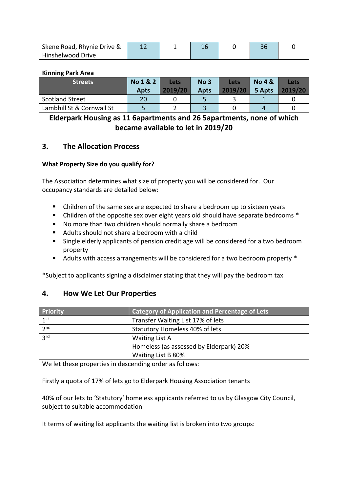| Skene Road, Rhynie Drive & |  |  |  |
|----------------------------|--|--|--|
| Hinshelwood Drive          |  |  |  |

#### **Kinning Park Area**

| <b>Streets</b>            | No 1 & 2<br><b>Apts</b> | Lets<br>2019/20 | No <sub>3</sub><br><b>Apts</b> | Lets<br>2019/20 | <b>No 4 &amp;</b><br>5 Apts | Lets<br>2019/20 |
|---------------------------|-------------------------|-----------------|--------------------------------|-----------------|-----------------------------|-----------------|
| Scotland Street           | 20                      |                 |                                |                 |                             |                 |
| Lambhill St & Cornwall St |                         |                 |                                |                 |                             |                 |

# **Elderpark Housing as 11 6apartments and 26 5apartments, none of which became available to let in 2019/20**

#### **3. The Allocation Process**

#### **What Property Size do you qualify for?**

The Association determines what size of property you will be considered for. Our occupancy standards are detailed below:

- Children of the same sex are expected to share a bedroom up to sixteen years
- Children of the opposite sex over eight years old should have separate bedrooms \*
- No more than two children should normally share a bedroom
- Adults should not share a bedroom with a child
- Single elderly applicants of pension credit age will be considered for a two bedroom property
- Adults with access arrangements will be considered for a two bedroom property \*

\*Subject to applicants signing a disclaimer stating that they will pay the bedroom tax

#### **4. How We Let Our Properties**

| Priority        | <b>Category of Application and Percentage of Lets</b> |
|-----------------|-------------------------------------------------------|
| 1 <sup>st</sup> | Transfer Waiting List 17% of lets                     |
| 2 <sub>nd</sub> | Statutory Homeless 40% of lets                        |
| 2rd             | <b>Waiting List A</b>                                 |
|                 | Homeless (as assessed by Elderpark) 20%               |
|                 | Waiting List B 80%                                    |

We let these properties in descending order as follows:

Firstly a quota of 17% of lets go to Elderpark Housing Association tenants

40% of our lets to 'Statutory' homeless applicants referred to us by Glasgow City Council, subject to suitable accommodation

It terms of waiting list applicants the waiting list is broken into two groups: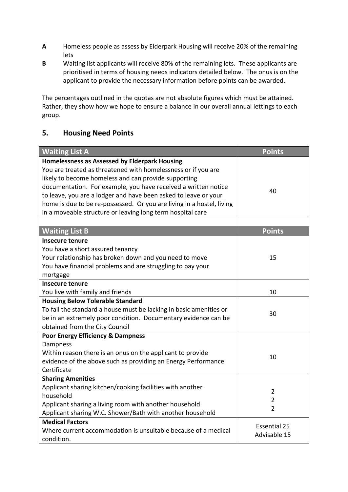- **A** Homeless people as assess by Elderpark Housing will receive 20% of the remaining lets
- **B** Waiting list applicants will receive 80% of the remaining lets. These applicants are prioritised in terms of housing needs indicators detailed below. The onus is on the applicant to provide the necessary information before points can be awarded.

The percentages outlined in the quotas are not absolute figures which must be attained. Rather, they show how we hope to ensure a balance in our overall annual lettings to each group.

# **5. Housing Need Points**

| <b>Waiting List A</b>                                                                                                                                                                                                                                                                                                                                                                                                                              | <b>Points</b>                                      |
|----------------------------------------------------------------------------------------------------------------------------------------------------------------------------------------------------------------------------------------------------------------------------------------------------------------------------------------------------------------------------------------------------------------------------------------------------|----------------------------------------------------|
| Homelessness as Assessed by Elderpark Housing<br>You are treated as threatened with homelessness or if you are<br>likely to become homeless and can provide supporting<br>documentation. For example, you have received a written notice<br>to leave, you are a lodger and have been asked to leave or your<br>home is due to be re-possessed. Or you are living in a hostel, living<br>in a moveable structure or leaving long term hospital care | 40                                                 |
|                                                                                                                                                                                                                                                                                                                                                                                                                                                    |                                                    |
| <b>Waiting List B</b>                                                                                                                                                                                                                                                                                                                                                                                                                              | <b>Points</b>                                      |
| <b>Insecure tenure</b><br>You have a short assured tenancy<br>Your relationship has broken down and you need to move<br>You have financial problems and are struggling to pay your<br>mortgage                                                                                                                                                                                                                                                     | 15                                                 |
| <b>Insecure tenure</b>                                                                                                                                                                                                                                                                                                                                                                                                                             |                                                    |
| You live with family and friends                                                                                                                                                                                                                                                                                                                                                                                                                   | 10                                                 |
| <b>Housing Below Tolerable Standard</b><br>To fail the standard a house must be lacking in basic amenities or<br>be in an extremely poor condition. Documentary evidence can be<br>obtained from the City Council                                                                                                                                                                                                                                  | 30                                                 |
| <b>Poor Energy Efficiency &amp; Dampness</b><br>Dampness<br>Within reason there is an onus on the applicant to provide<br>evidence of the above such as providing an Energy Performance                                                                                                                                                                                                                                                            | 10                                                 |
| Certificate                                                                                                                                                                                                                                                                                                                                                                                                                                        |                                                    |
| <b>Sharing Amenities</b>                                                                                                                                                                                                                                                                                                                                                                                                                           |                                                    |
| Applicant sharing kitchen/cooking facilities with another<br>household<br>Applicant sharing a living room with another household<br>Applicant sharing W.C. Shower/Bath with another household                                                                                                                                                                                                                                                      | $\overline{2}$<br>$\overline{2}$<br>$\overline{2}$ |
| <b>Medical Factors</b>                                                                                                                                                                                                                                                                                                                                                                                                                             | <b>Essential 25</b>                                |
| Where current accommodation is unsuitable because of a medical<br>condition.                                                                                                                                                                                                                                                                                                                                                                       | Advisable 15                                       |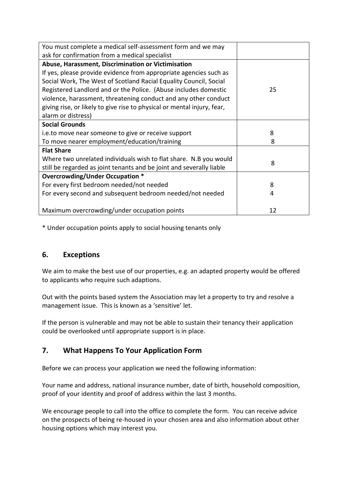| You must complete a medical self-assessment form and we may             |                       |
|-------------------------------------------------------------------------|-----------------------|
| ask for confirmation from a medical specialist                          |                       |
| Abuse, Harassment, Discrimination or Victimisation                      |                       |
| If yes, please provide evidence from appropriate agencies such as       |                       |
| Social Work, The West of Scotland Racial Equality Council, Social       |                       |
| Registered Landlord and or the Police. (Abuse includes domestic         | 25                    |
| violence, harassment, threatening conduct and any other conduct         |                       |
| giving rise, or likely to give rise to physical or mental injury, fear, |                       |
| alarm or distress)                                                      |                       |
| <b>Social Grounds</b>                                                   |                       |
| i.e.to move near someone to give or receive support                     | 8                     |
| To move nearer employment/education/training                            | $\mathsf{\mathsf{R}}$ |
| <b>Flat Share</b>                                                       |                       |
| Where two unrelated individuals wish to flat share. N.B you would       | 8                     |
| still be regarded as joint tenants and be joint and severally liable    |                       |
| Overcrowding/Under Occupation *                                         |                       |
| For every first bedroom needed/not needed                               | 8                     |
| For every second and subsequent bedroom needed/not needed               | 4                     |
|                                                                         |                       |
| Maximum overcrowding/under occupation points                            | 12                    |

\* Under occupation points apply to social housing tenants only

## **6. Exceptions**

We aim to make the best use of our properties, e.g. an adapted property would be offered to applicants who require such adaptions.

Out with the points based system the Association may let a property to try and resolve a management issue. This is known as a 'sensitive' let.

If the person is vulnerable and may not be able to sustain their tenancy their application could be overlooked until appropriate support is in place.

# **7. What Happens To Your Application Form**

Before we can process your application we need the following information:

Your name and address, national insurance number, date of birth, household composition, proof of your identity and proof of address within the last 3 months.

We encourage people to call into the office to complete the form. You can receive advice on the prospects of being re-housed in your chosen area and also information about other housing options which may interest you.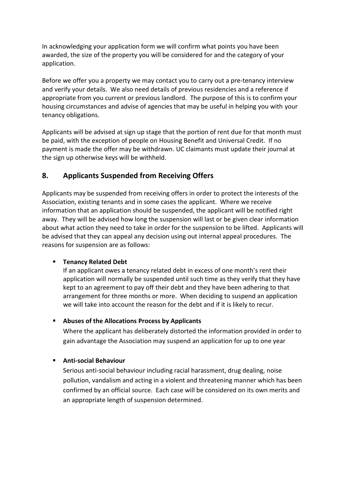In acknowledging your application form we will confirm what points you have been awarded, the size of the property you will be considered for and the category of your application.

Before we offer you a property we may contact you to carry out a pre-tenancy interview and verify your details. We also need details of previous residencies and a reference if appropriate from you current or previous landlord. The purpose of this is to confirm your housing circumstances and advise of agencies that may be useful in helping you with your tenancy obligations.

Applicants will be advised at sign up stage that the portion of rent due for that month must be paid, with the exception of people on Housing Benefit and Universal Credit. If no payment is made the offer may be withdrawn. UC claimants must update their journal at the sign up otherwise keys will be withheld.

# **8. Applicants Suspended from Receiving Offers**

Applicants may be suspended from receiving offers in order to protect the interests of the Association, existing tenants and in some cases the applicant. Where we receive information that an application should be suspended, the applicant will be notified right away. They will be advised how long the suspension will last or be given clear information about what action they need to take in order for the suspension to be lifted. Applicants will be advised that they can appeal any decision using out internal appeal procedures. The reasons for suspension are as follows:

#### **Tenancy Related Debt**

If an applicant owes a tenancy related debt in excess of one month's rent their application will normally be suspended until such time as they verify that they have kept to an agreement to pay off their debt and they have been adhering to that arrangement for three months or more. When deciding to suspend an application we will take into account the reason for the debt and if it is likely to recur.

#### **Abuses of the Allocations Process by Applicants**

Where the applicant has deliberately distorted the information provided in order to gain advantage the Association may suspend an application for up to one year

#### **Anti-social Behaviour**

Serious anti-social behaviour including racial harassment, drug dealing, noise pollution, vandalism and acting in a violent and threatening manner which has been confirmed by an official source. Each case will be considered on its own merits and an appropriate length of suspension determined.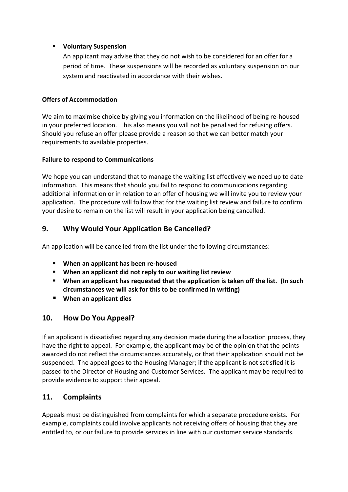#### **Voluntary Suspension**

An applicant may advise that they do not wish to be considered for an offer for a period of time. These suspensions will be recorded as voluntary suspension on our system and reactivated in accordance with their wishes.

#### **Offers of Accommodation**

We aim to maximise choice by giving you information on the likelihood of being re-housed in your preferred location. This also means you will not be penalised for refusing offers. Should you refuse an offer please provide a reason so that we can better match your requirements to available properties.

#### **Failure to respond to Communications**

We hope you can understand that to manage the waiting list effectively we need up to date information. This means that should you fail to respond to communications regarding additional information or in relation to an offer of housing we will invite you to review your application. The procedure will follow that for the waiting list review and failure to confirm your desire to remain on the list will result in your application being cancelled.

# **9. Why Would Your Application Be Cancelled?**

An application will be cancelled from the list under the following circumstances:

- **When an applicant has been re-housed**
- **When an applicant did not reply to our waiting list review**
- **When an applicant has requested that the application is taken off the list. (In such circumstances we will ask for this to be confirmed in writing)**
- **When an applicant dies**

## **10. How Do You Appeal?**

If an applicant is dissatisfied regarding any decision made during the allocation process, they have the right to appeal. For example, the applicant may be of the opinion that the points awarded do not reflect the circumstances accurately, or that their application should not be suspended. The appeal goes to the Housing Manager; if the applicant is not satisfied it is passed to the Director of Housing and Customer Services. The applicant may be required to provide evidence to support their appeal.

## **11. Complaints**

Appeals must be distinguished from complaints for which a separate procedure exists. For example, complaints could involve applicants not receiving offers of housing that they are entitled to, or our failure to provide services in line with our customer service standards.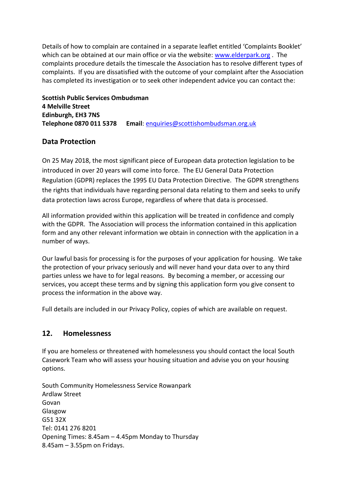Details of how to complain are contained in a separate leaflet entitled 'Complaints Booklet' which can be obtained at our main office or via the website: [www.elderpark.org](http://www.elderpark.org/). The complaints procedure details the timescale the Association has to resolve different types of complaints. If you are dissatisfied with the outcome of your complaint after the Association has completed its investigation or to seek other independent advice you can contact the:

**Scottish Public Services Ombudsman 4 Melville Street Edinburgh, EH3 7NS Telephone 0870 011 5378 Email**: [enquiries@scottishombudsman.org.uk](mailto:enquiries@scottishombudsman.org.uk)

# **Data Protection**

On 25 May 2018, the most significant piece of European data protection legislation to be introduced in over 20 years will come into force. The EU General Data Protection Regulation (GDPR) replaces the 1995 EU Data Protection Directive. The GDPR strengthens the rights that individuals have regarding personal data relating to them and seeks to unify data protection laws across Europe, regardless of where that data is processed.

All information provided within this application will be treated in confidence and comply with the GDPR. The Association will process the information contained in this application form and any other relevant information we obtain in connection with the application in a number of ways.

Our lawful basis for processing is for the purposes of your application for housing. We take the protection of your privacy seriously and will never hand your data over to any third parties unless we have to for legal reasons. By becoming a member, or accessing our services, you accept these terms and by signing this application form you give consent to process the information in the above way.

Full details are included in our Privacy Policy, copies of which are available on request.

## **12. Homelessness**

If you are homeless or threatened with homelessness you should contact the local South Casework Team who will assess your housing situation and advise you on your housing options.

South Community Homelessness Service Rowanpark Ardlaw Street Govan Glasgow G51 32X Tel: 0141 276 8201 Opening Times: 8.45am – 4.45pm Monday to Thursday 8.45am – 3.55pm on Fridays.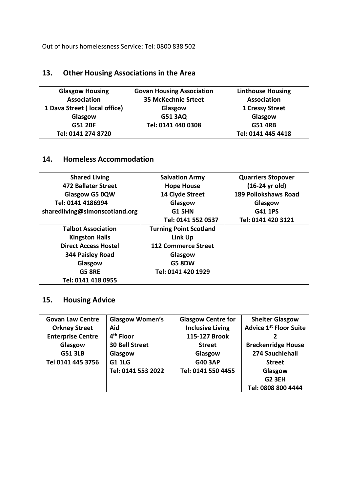Out of hours homelessness Service: Tel: 0800 838 502

# **13. Other Housing Associations in the Area**

| <b>Glasgow Housing</b>       | <b>Govan Housing Association</b> | <b>Linthouse Housing</b> |
|------------------------------|----------------------------------|--------------------------|
| <b>Association</b>           | <b>35 McKechnie Srteet</b>       | <b>Association</b>       |
| 1 Dava Street (local office) | Glasgow                          | 1 Cressy Street          |
| Glasgow                      | <b>G51 3AQ</b>                   | Glasgow                  |
| <b>G51 2BF</b>               | Tel: 0141 440 0308               | <b>G51 4RB</b>           |
| Tel: 0141 274 8720           |                                  | Tel: 0141 445 4418       |

# **14. Homeless Accommodation**

| <b>Shared Living</b>           | <b>Salvation Army</b>         | <b>Quarriers Stopover</b>   |
|--------------------------------|-------------------------------|-----------------------------|
| <b>472 Ballater Street</b>     | <b>Hope House</b>             | (16-24 yr old)              |
| Glasgow G5 0QW                 | 14 Clyde Street               | <b>189 Pollokshaws Road</b> |
| Tel: 0141 4186994              | Glasgow                       | Glasgow                     |
| sharedliving@simonscotland.org | <b>G1 5HN</b>                 | <b>G41 1PS</b>              |
|                                | Tel: 0141 552 0537            | Tel: 0141 420 3121          |
| <b>Talbot Association</b>      | <b>Turning Point Scotland</b> |                             |
| <b>Kingston Halls</b>          | Link Up                       |                             |
| <b>Direct Access Hostel</b>    | <b>112 Commerce Street</b>    |                             |
| 344 Paisley Road               | Glasgow                       |                             |
| Glasgow                        | <b>G5 8DW</b>                 |                             |
| <b>G5 8RE</b>                  | Tel: 0141 420 1929            |                             |
| Tel: 0141 418 0955             |                               |                             |

# **15. Housing Advice**

| <b>Govan Law Centre</b>  | <b>Glasgow Women's</b> | <b>Glasgow Centre for</b> | <b>Shelter Glasgow</b>        |
|--------------------------|------------------------|---------------------------|-------------------------------|
| <b>Orkney Street</b>     | Aid                    | <b>Inclusive Living</b>   | <b>Advice 1st Floor Suite</b> |
| <b>Enterprise Centre</b> | 4 <sup>th</sup> Floor  | 115-127 Brook             | 2                             |
| Glasgow                  | <b>30 Bell Street</b>  | <b>Street</b>             | <b>Breckenridge House</b>     |
| <b>G51 3LB</b>           | Glasgow                | Glasgow                   | 274 Sauchiehall               |
| Tel 0141 445 3756        | <b>G1 1LG</b>          | <b>G40 3AP</b>            | <b>Street</b>                 |
|                          | Tel: 0141 553 2022     | Tel: 0141 550 4455        | Glasgow                       |
|                          |                        |                           | <b>G2 3EH</b>                 |
|                          |                        |                           | Tel: 0808 800 4444            |
|                          |                        |                           |                               |